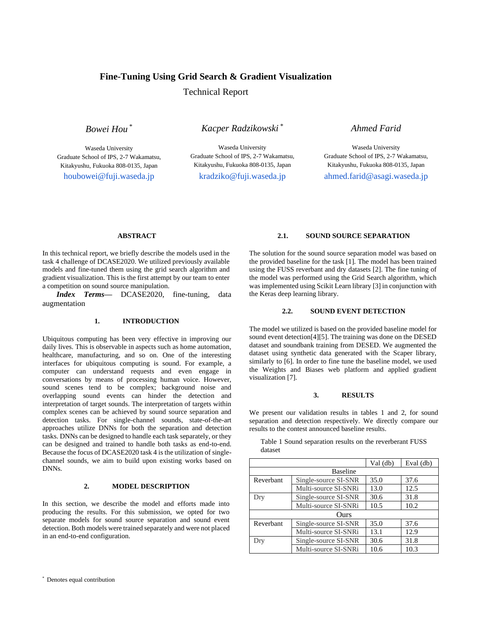# **Fine-Tuning Using Grid Search & Gradient Visualization**

Technical Report

*Bowei Hou* \*

Waseda University Graduate School of IPS, 2-7 Wakamatsu, Kitakyushu, Fukuoka 808-0135, Japan

*Kacper Radzikowski* \*

Waseda University Graduate School of IPS, 2-7 Wakamatsu, Kitakyushu, Fukuoka 808-0135, Japan

*Ahmed Farid*

Waseda University Graduate School of IPS, 2-7 Wakamatsu, Kitakyushu, Fukuoka 808-0135, Japan houbowei@fuji.waseda.jp kradziko@fuji.waseda.jp ahmed.farid@asagi.waseda.jp

### **ABSTRACT**

In this technical report, we briefly describe the models used in the task 4 challenge of DCASE2020. We utilized previously available models and fine-tuned them using the grid search algorithm and gradient visualization. This is the first attempt by our team to enter a competition on sound source manipulation.

*Index Terms—* DCASE2020, fine-tuning, data augmentation

### **1. INTRODUCTION**

Ubiquitous computing has been very effective in improving our daily lives. This is observable in aspects such as home automation, healthcare, manufacturing, and so on. One of the interesting interfaces for ubiquitous computing is sound. For example, a computer can understand requests and even engage in conversations by means of processing human voice. However, sound scenes tend to be complex; background noise and overlapping sound events can hinder the detection and interpretation of target sounds. The interpretation of targets within complex scenes can be achieved by sound source separation and detection tasks. For single-channel sounds, state-of-the-art approaches utilize DNNs for both the separation and detection tasks. DNNs can be designed to handle each task separately, or they can be designed and trained to handle both tasks as end-to-end. Because the focus of DCASE2020 task 4 is the utilization of singlechannel sounds, we aim to build upon existing works based on DNNs.

### **2. MODEL DESCRIPTION**

In this section, we describe the model and efforts made into producing the results. For this submission, we opted for two separate models for sound source separation and sound event detection. Both models were trained separately and were not placed in an end-to-end configuration.

### **2.1. SOUND SOURCE SEPARATION**

The solution for the sound source separation model was based on the provided baseline for the task [1]. The model has been trained using the FUSS reverbant and dry datasets [2]. The fine tuning of the model was performed using the Grid Search algorithm, which was implemented using Scikit Learn library [3] in conjunction with the Keras deep learning library.

## **2.2. SOUND EVENT DETECTION**

The model we utilized is based on the provided baseline model for sound event detection[4][5]. The training was done on the DESED dataset and soundbank training from DESED. We augmented the dataset using synthetic data generated with the Scaper library, similarly to [6]. In order to fine tune the baseline model, we used the Weights and Biases web platform and applied gradient visualization [7].

#### **3. RESULTS**

We present our validation results in tables 1 and 2, for sound separation and detection respectively. We directly compare our results to the contest announced baseline results.

Table 1 Sound separation results on the reverberant FUSS dataset

|                 |                      | $Val$ (db) | Eval (db) |  |
|-----------------|----------------------|------------|-----------|--|
| <b>Baseline</b> |                      |            |           |  |
| Reverbant       | Single-source SI-SNR | 35.0       | 37.6      |  |
|                 | Multi-source SI-SNRi | 13.0       | 12.5      |  |
| Dry             | Single-source SI-SNR | 30.6       | 31.8      |  |
|                 | Multi-source SI-SNRi | 10.5       | 10.2      |  |
| Ours            |                      |            |           |  |
| Reverbant       | Single-source SI-SNR | 35.0       | 37.6      |  |
|                 | Multi-source SI-SNRi | 13.1       | 12.9      |  |
| Dry             | Single-source SI-SNR | 30.6       | 31.8      |  |
|                 | Multi-source SI-SNRi | 10.6       | 10.3      |  |